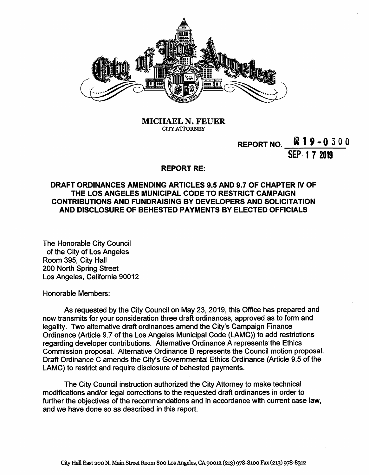

**MICHAEL N. FEUER CITYATTORNEY**

# **REPORT NO. \_\_** $\mathbb{R}$  **19 - 0 3 0 0**

**SEP <sup>1</sup> 7 2019**

#### **REPORT RE:**

## **DRAFT ORDINANCES AMENDING ARTICLES 9.5 AND 9.7 OF CHAPTER IV OF THE LOS ANGELES MUNICIPAL CODE TO RESTRICT CAMPAIGN CONTRIBUTIONS AND FUNDRAISING BY DEVELOPERS AND SOLICITATION AND DISCLOSURE OF BEHESTED PAYMENTS BY ELECTED OFFICIALS**

The Honorable City Council of the City of Los Angeles Room 395, City Hall 200 North Spring Street Los Angeles, California 90012

Honorable Members:

As requested by the City Council on May 23, 2019, this Office has prepared and now transmits for your consideration three draft ordinances, approved as to form and legality. Two alternative draft ordinances amend the City's Campaign Finance Ordinance (Article 9.7 of the Los Angeles Municipal Code (LAMC)) to add restrictions regarding developer contributions. Alternative Ordinance A represents the Ethics Commission proposal. Alternative Ordinance B represents the Council motion proposal. Draft Ordinance C amends the City's Governmental Ethics Ordinance (Article 9.5 of the LAMC) to restrict and require disclosure of behested payments.

The City Council instruction authorized the City Attorney to make technical modifications and/or legal corrections to the requested draft ordinances in order to further the objectives of the recommendations and in accordance with current case law, and we have done so as described in this report.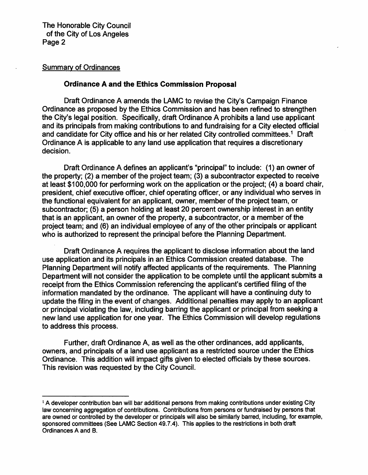#### Summary of Ordinances

## **Ordinance A and the Ethics Commission Proposal**

Draft Ordinance A amends the LAMC to revise the City's Campaign Finance Ordinance as proposed by the Ethics Commission and has been refined to strengthen the City's legal position. Specifically, draft Ordinance A prohibits a land use applicant and its principals from making contributions to and fundraising for a City elected official and candidate for City office and his or her related City controlled committees.<sup>1</sup> Draft Ordinance A is applicable to any land use application that requires a discretionary decision.

Draft Ordinance A defines an applicant's "principal" to include: (1) an owner of the property; (2) a member of the project team; (3) a subcontractor expected to receive at least \$100,000 for performing work on the application or the project; (4) a board chair, president, chief executive officer, chief operating officer, or any individual who serves in the functional equivalent for an applicant, owner, member of the project team, or subcontractor; (5) a person holding at least 20 percent ownership interest in an entity that is an applicant, an owner of the property, a subcontractor, or a member of the project team; and (6) an individual employee of any of the other principals or applicant who is authorized to represent the principal before the Planning Department.

Draft Ordinance A requires the applicant to disclose information about the land use application and its principals in an Ethics Commission created database. The Planning Department will notify affected applicants of the requirements. The Planning Department will not consider the application to be complete until the applicant submits a receipt from the Ethics Commission referencing the applicant's certified filing of the information mandated by the ordinance. The applicant will have a continuing duty to update the filing in the event of changes. Additional penalties may apply to an applicant or principal violating the law, including barring the applicant or principal from seeking a new land use application for one year. The Ethics Commission will develop regulations to address this process.

Further, draft Ordinance A, as well as the other ordinances, add applicants, owners, and principals of a land use applicant as a restricted source under the Ethics Ordinance. This addition will impact gifts given to elected officials by these sources. This revision was requested by the City Council.

**<sup>1</sup>A developer contribution ban will bar additional persons from making contributions under existing City law concerning aggregation of contributions. Contributions from persons or fundraised by persons that are owned or controlled by the developer or principals will also be similarly barred, including, for example, sponsored committees (See LAMC Section 49.7.4). This applies to the restrictions in both draft Ordinances A and B.**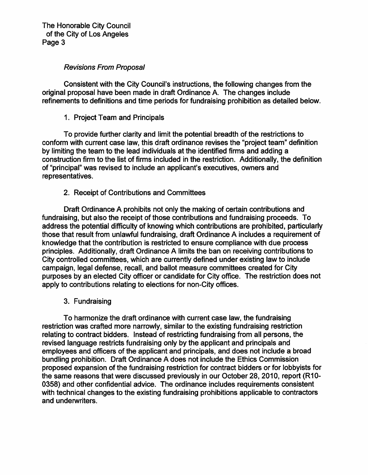## *Revisions From Proposal*

Consistent with the City Council's instructions, the following changes from the original proposal have been made in draft Ordinance A. The changes include refinements to definitions and time periods for fundraising prohibition as detailed below.

1. Project Team and Principals

To provide further clarity and limit the potential breadth of the restrictions to conform with current case law, this draft ordinance revises the "project team" definition by limiting the team to the lead individuals at the identified firms and adding a construction firm to the list of firms included in the restriction. Additionally, the definition of "principal" was revised to include an applicant's executives, owners and representatives.

2. Receipt of Contributions and Committees

Draft Ordinance A prohibits not only the making of certain contributions and fundraising, but also the receipt of those contributions and fundraising proceeds. To address the potential difficulty of knowing which contributions are prohibited, particularly those that result from unlawful fundraising, draft Ordinance A includes a requirement of knowledge that the contribution is restricted to ensure compliance with due process principles. Additionally, draft Ordinance A limits the ban on receiving contributions to City controlled committees, which are currently defined under existing law to include campaign, legal defense, recall, and ballot measure committees created for City purposes by an elected City officer or candidate for City office. The restriction does not apply to contributions relating to elections for non-City offices.

3. Fundraising

To harmonize the draft ordinance with current case law, the fundraising restriction was crafted more narrowly, similar to the existing fundraising restriction relating to contract bidders. Instead of restricting fundraising from all persons, the revised language restricts fundraising only by the applicant and principals and employees and officers of the applicant and principals, and does not include a broad bundling prohibition. Draft Ordinance A does not include the Ethics Commission proposed expansion of the fundraising restriction for contract bidders or for lobbyists for the same reasons that were discussed previously in our October 28, 2010, report (R10- 0358) and other confidential advice. The ordinance includes requirements consistent with technical changes to the existing fundraising prohibitions applicable to contractors and underwriters.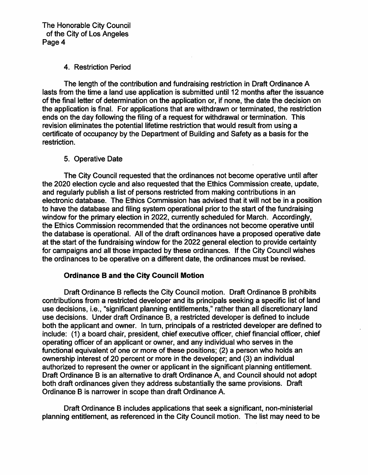#### 4. Restriction Period

The length of the contribution and fundraising restriction in Draft Ordinance A lasts from the time a land use application is submitted until 12 months after the issuance of the final letter of determination on the application or, if none, the date the decision on the application is final. For applications that are withdrawn or terminated, the restriction ends on the day following the filing of a request for withdrawal or termination. This revision eliminates the potential lifetime restriction that would result from using a certificate of occupancy by the Department of Building and Safety as a basis for the restriction.

## 5. Operative Date

The City Council requested that the ordinances not become operative until after the 2020 election cycle and also requested that the Ethics Commission create, update, and regularly publish a list of persons restricted from making contributions in an electronic database. The Ethics Commission has advised that it will not be in a position to have the database and filing system operational prior to the start of the fundraising window for the primary election in 2022, currently scheduled for March. Accordingly, the Ethics Commission recommended that the ordinances not become operative until the database is operational. All of the draft ordinances have a proposed operative date at the start of the fundraising window for the 2022 general election to provide certainty for campaigns and all those impacted by these ordinances. If the City Council wishes the ordinances to be operative on a different date, the ordinances must be revised.

## **Ordinance B and the City Council Motion**

Draft Ordinance B reflects the City Council motion. Draft Ordinance B prohibits contributions from a restricted developer and its principals seeking a specific list of land use decisions, i.e., "significant planning entitlements," rather than all discretionary land use decisions. Under draft Ordinance B, a restricted developer is defined to include both the applicant and owner. In turn, principals of a restricted developer are defined to include: (1) a board chair, president, chief executive officer, chief financial officer, chief operating officer of an applicant or owner, and any individual who serves in the functional equivalent of one or more of these positions; (2) a person who holds an ownership interest of 20 percent or more in the developer; and (3) an individual authorized to represent the owner or applicant in the significant planning entitlement. Draft Ordinance B is an alternative to draft Ordinance A, and Council should not adopt both draft ordinances given they address substantially the same provisions. Draft Ordinance B is narrower in scope than draft Ordinance A.

Draft Ordinance B includes applications that seek a significant, non-ministerial planning entitlement, as referenced in the City Council motion. The list may need to be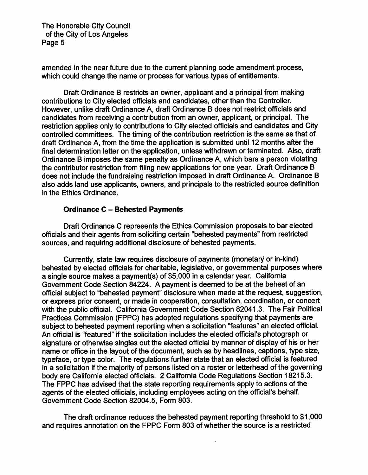amended in the near future due to the current planning code amendment process, which could change the name or process for various types of entitlements.

Draft Ordinance B restricts an owner, applicant and a principal from making contributions to City elected officials and candidates, other than the Controller. However, unlike draft Ordinance A, draft Ordinance B does not restrict officials and candidates from receiving a contribution from an owner, applicant, or principal. The restriction applies only to contributions to City elected officials and candidates and City controlled committees. The timing of the contribution restriction is the same as that of draft Ordinance A, from the time the application is submitted until 12 months after the final determination letter on the application, unless withdrawn or terminated. Also, draft Ordinance B imposes the same penalty as Ordinance A, which bars a person violating the contributor restriction from filing new applications for one year. Draft Ordinance B does not include the fundraising restriction imposed in draft Ordinance A. Ordinance B also adds land use applicants, owners, and principals to the restricted source definition in the Ethics Ordinance.

### **Ordinance <sup>C</sup> - Behested Payments**

Draft Ordinance C represents the Ethics Commission proposals to bar elected officials and their agents from soliciting certain "behested payments" from restricted sources, and requiring additional disclosure of behested payments.

Currently, state law requires disclosure of payments (monetary or in-kind) behested by elected officials for charitable, legislative, or governmental purposes where a single source makes a payment(s) of \$5,000 in a calendar year. California Government Code Section 84224. A payment is deemed to be at the behest of an official subject to "behested payment" disclosure when made at the request, suggestion, or express prior consent, or made in cooperation, consultation, coordination, or concert with the public official. California Government Code Section 82041.3. The Fair Political Practices Commission (FPPC) has adopted regulations specifying that payments are subject to behested payment reporting when a solicitation "features" an elected official. An official is "featured" if the solicitation includes the elected official's photograph or signature or otherwise singles out the elected official by manner of display of his or her name or office in the layout of the document, such as by headlines, captions, type size, typeface, or type color. The regulations further state that an elected official is featured in a solicitation if the majority of persons listed on a roster or letterhead of the governing body are California elected officials. 2 California Code Regulations Section 18215.3. The FPPC has advised that the state reporting requirements apply to actions of the agents of the elected officials, including employees acting on the official's behalf. Government Code Section 82004.5, Form 803.

The draft ordinance reduces the behested payment reporting threshold to \$1,000 and requires annotation on the FPPC Form 803 of whether the source is a restricted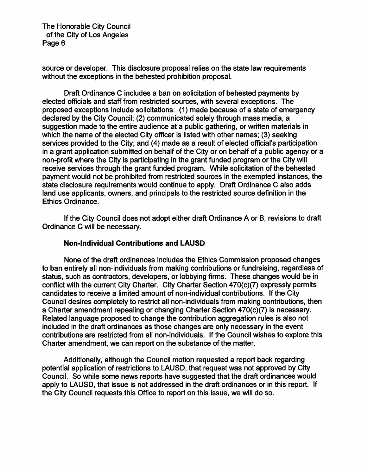source or developer. This disclosure proposal relies on the state law requirements without the exceptions in the behested prohibition proposal.

Draft Ordinance C includes a ban on solicitation of behested payments by elected officials and staff from restricted sources, with several exceptions. The proposed exceptions include solicitations: (1) made because of a state of emergency declared by the City Council; (2) communicated solely through mass media, a suggestion made to the entire audience at a public gathering, or written materials in which the name of the elected City officer is listed with other names; (3) seeking services provided to the City; and (4) made as a result of elected official's participation in a grant application submitted on behalf of the City or on behalf of a public agency or a non-profit where the City is participating in the grant funded program or the City will receive services through the grant funded program. While solicitation of the behested payment would not be prohibited from restricted sources in the exempted instances, the state disclosure requirements would continue to apply. Draft Ordinance C also adds land use applicants, owners, and principals to the restricted source definition in the Ethics Ordinance.

If the City Council does not adopt either draft Ordinance A or B, revisions to draft Ordinance C will be necessary.

#### **Non-Individual Contributions and LAUSD**

None of the draft ordinances includes the Ethics Commission proposed changes to ban entirely all non-individuals from making contributions or fundraising, regardless of status, such as contractors, developers, or lobbying firms. These changes would be in conflict with the current City Charter. City Charter Section 470(c)(7) expressly permits candidates to receive a limited amount of non-individual contributions. If the City Council desires completely to restrict all non-individuals from making contributions, then a Charter amendment repealing or changing Charter Section 470(c)(7) is necessary. Related language proposed to change the contribution aggregation rules is also not included in the draft ordinances as those changes are only necessary in the event contributions are restricted from all non-individuals. If the Council wishes to explore this Charter amendment, we can report on the substance of the matter.

Additionally, although the Council motion requested a report back regarding potential application of restrictions to LAUSD, that request was not approved by City Council. So while some news reports have suggested that the draft ordinances would apply to LAUSD, that issue is not addressed in the draft ordinances or in this report. If the City Council requests this Office to report on this issue, we will do so.